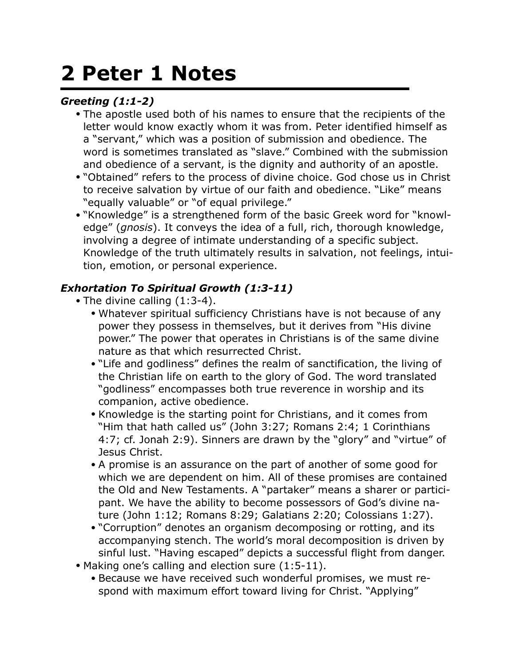## **2 Peter 1 Notes**

## *Greeting (1:1-2)*

- The apostle used both of his names to ensure that the recipients of the letter would know exactly whom it was from. Peter identified himself as a "servant," which was a position of submission and obedience. The word is sometimes translated as "slave." Combined with the submission and obedience of a servant, is the dignity and authority of an apostle.
- "Obtained" refers to the process of divine choice. God chose us in Christ to receive salvation by virtue of our faith and obedience. "Like" means "equally valuable" or "of equal privilege."
- "Knowledge" is a strengthened form of the basic Greek word for "knowledge" (*gnosis*). It conveys the idea of a full, rich, thorough knowledge, involving a degree of intimate understanding of a specific subject. Knowledge of the truth ultimately results in salvation, not feelings, intuition, emotion, or personal experience.

## *Exhortation To Spiritual Growth (1:3-11)*

- The divine calling (1:3-4).
	- Whatever spiritual sufficiency Christians have is not because of any power they possess in themselves, but it derives from "His divine power." The power that operates in Christians is of the same divine nature as that which resurrected Christ.
	- "Life and godliness" defines the realm of sanctification, the living of the Christian life on earth to the glory of God. The word translated "godliness" encompasses both true reverence in worship and its companion, active obedience.
	- Knowledge is the starting point for Christians, and it comes from "Him that hath called us" (John 3:27; Romans 2:4; 1 Corinthians 4:7; cf. Jonah 2:9). Sinners are drawn by the "glory" and "virtue" of Jesus Christ.
	- A promise is an assurance on the part of another of some good for which we are dependent on him. All of these promises are contained the Old and New Testaments. A "partaker" means a sharer or participant. We have the ability to become possessors of God's divine nature (John 1:12; Romans 8:29; Galatians 2:20; Colossians 1:27).
	- "Corruption" denotes an organism decomposing or rotting, and its accompanying stench. The world's moral decomposition is driven by sinful lust. "Having escaped" depicts a successful flight from danger.
- Making one's calling and election sure (1:5-11).
	- Because we have received such wonderful promises, we must respond with maximum effort toward living for Christ. "Applying"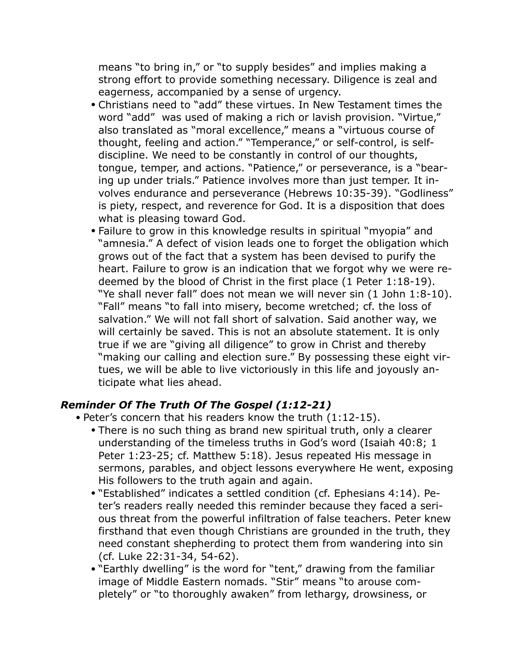means "to bring in," or "to supply besides" and implies making a strong effort to provide something necessary. Diligence is zeal and eagerness, accompanied by a sense of urgency.

- Christians need to "add" these virtues. In New Testament times the word "add" was used of making a rich or lavish provision. "Virtue," also translated as "moral excellence," means a "virtuous course of thought, feeling and action." "Temperance," or self-control, is selfdiscipline. We need to be constantly in control of our thoughts, tongue, temper, and actions. "Patience," or perseverance, is a "bearing up under trials." Patience involves more than just temper. It involves endurance and perseverance (Hebrews 10:35-39). "Godliness" is piety, respect, and reverence for God. It is a disposition that does what is pleasing toward God.
- Failure to grow in this knowledge results in spiritual "myopia" and "amnesia." A defect of vision leads one to forget the obligation which grows out of the fact that a system has been devised to purify the heart. Failure to grow is an indication that we forgot why we were redeemed by the blood of Christ in the first place (1 Peter 1:18-19). "Ye shall never fall" does not mean we will never sin (1 John 1:8-10). "Fall" means "to fall into misery, become wretched; cf. the loss of salvation." We will not fall short of salvation. Said another way, we will certainly be saved. This is not an absolute statement. It is only true if we are "giving all diligence" to grow in Christ and thereby "making our calling and election sure." By possessing these eight virtues, we will be able to live victoriously in this life and joyously anticipate what lies ahead.

## *Reminder Of The Truth Of The Gospel (1:12-21)*

- Peter's concern that his readers know the truth (1:12-15).
	- There is no such thing as brand new spiritual truth, only a clearer understanding of the timeless truths in God's word (Isaiah 40:8; 1 Peter 1:23-25; cf. Matthew 5:18). Jesus repeated His message in sermons, parables, and object lessons everywhere He went, exposing His followers to the truth again and again.
	- "Established" indicates a settled condition (cf. Ephesians 4:14). Peter's readers really needed this reminder because they faced a serious threat from the powerful infiltration of false teachers. Peter knew firsthand that even though Christians are grounded in the truth, they need constant shepherding to protect them from wandering into sin (cf. Luke 22:31-34, 54-62).
	- "Earthly dwelling" is the word for "tent," drawing from the familiar image of Middle Eastern nomads. "Stir" means "to arouse completely" or "to thoroughly awaken" from lethargy, drowsiness, or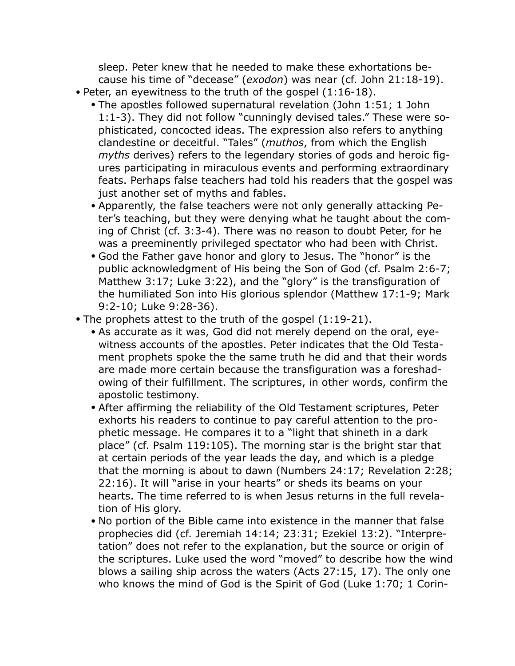sleep. Peter knew that he needed to make these exhortations because his time of "decease" (*exodon*) was near (cf. John 21:18-19).

- Peter, an eyewitness to the truth of the gospel (1:16-18).
	- The apostles followed supernatural revelation (John 1:51; 1 John 1:1-3). They did not follow "cunningly devised tales." These were sophisticated, concocted ideas. The expression also refers to anything clandestine or deceitful. "Tales" (*muthos*, from which the English *myths* derives) refers to the legendary stories of gods and heroic figures participating in miraculous events and performing extraordinary feats. Perhaps false teachers had told his readers that the gospel was just another set of myths and fables.
	- Apparently, the false teachers were not only generally attacking Peter's teaching, but they were denying what he taught about the coming of Christ (cf. 3:3-4). There was no reason to doubt Peter, for he was a preeminently privileged spectator who had been with Christ.
	- God the Father gave honor and glory to Jesus. The "honor" is the public acknowledgment of His being the Son of God (cf. Psalm 2:6-7; Matthew 3:17; Luke 3:22), and the "glory" is the transfiguration of the humiliated Son into His glorious splendor (Matthew 17:1-9; Mark 9:2-10; Luke 9:28-36).
- The prophets attest to the truth of the gospel (1:19-21).
	- As accurate as it was, God did not merely depend on the oral, eyewitness accounts of the apostles. Peter indicates that the Old Testament prophets spoke the the same truth he did and that their words are made more certain because the transfiguration was a foreshadowing of their fulfillment. The scriptures, in other words, confirm the apostolic testimony.
	- After affirming the reliability of the Old Testament scriptures, Peter exhorts his readers to continue to pay careful attention to the prophetic message. He compares it to a "light that shineth in a dark place" (cf. Psalm 119:105). The morning star is the bright star that at certain periods of the year leads the day, and which is a pledge that the morning is about to dawn (Numbers 24:17; Revelation 2:28; 22:16). It will "arise in your hearts" or sheds its beams on your hearts. The time referred to is when Jesus returns in the full revelation of His glory.
	- No portion of the Bible came into existence in the manner that false prophecies did (cf. Jeremiah 14:14; 23:31; Ezekiel 13:2). "Interpretation" does not refer to the explanation, but the source or origin of the scriptures. Luke used the word "moved" to describe how the wind blows a sailing ship across the waters (Acts 27:15, 17). The only one who knows the mind of God is the Spirit of God (Luke 1:70; 1 Corin-